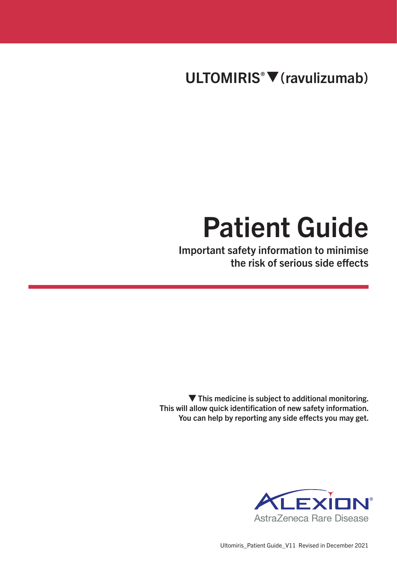ULTOMIRIS<sup>®</sup> ▼ (ravulizumab)

# Patient Guide

Important safety information to minimise the risk of serious side effects

 $\blacktriangledown$  This medicine is subject to additional monitoring. This will allow quick identification of new safety information. You can help by reporting any side effects you may get.



Ultomiris\_Patient Guide\_V11 Revised in December 2021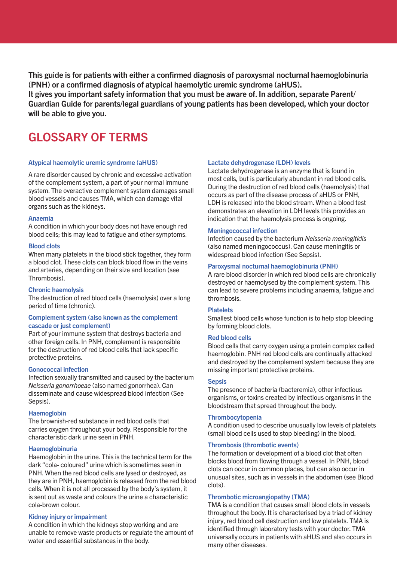This guide is for patients with either a confirmed diagnosis of paroxysmal nocturnal haemoglobinuria (PNH) or a confirmed diagnosis of atypical haemolytic uremic syndrome (aHUS). It gives you important safety information that you must be aware of. In addition, separate Parent/

Guardian Guide for parents/legal guardians of young patients has been developed, which your doctor will be able to give you.

# GLOSSARY OF TERMS

### Atypical haemolytic uremic syndrome (aHUS)

A rare disorder caused by chronic and excessive activation of the complement system, a part of your normal immune system. The overactive complement system damages small blood vessels and causes TMA, which can damage vital organs such as the kidneys.

### Anaemia

A condition in which your body does not have enough red blood cells; this may lead to fatigue and other symptoms.

### Blood clots

When many platelets in the blood stick together, they form a blood clot. These clots can block blood flow in the veins and arteries, depending on their size and location (see Thrombosis).

### Chronic haemolysis

The destruction of red blood cells (haemolysis) over a long period of time (chronic).

#### Complement system (also known as the complement cascade or just complement)

Part of your immune system that destroys bacteria and other foreign cells. In PNH, complement is responsible for the destruction of red blood cells that lack specific protective proteins.

### Gonococcal infection

Infection sexually transmitted and caused by the bacterium *Neisseria gonorrhoeae* (also named gonorrhea). Can disseminate and cause widespread blood infection (See Sepsis).

### Haemoglobin

The brownish-red substance in red blood cells that carries oxygen throughout your body. Responsible for the characteristic dark urine seen in PNH.

### Haemoglobinuria

Haemoglobin in the urine. This is the technical term for the dark "cola- coloured" urine which is sometimes seen in PNH. When the red blood cells are lysed or destroyed, as they are in PNH, haemoglobin is released from the red blood cells. When it is not all processed by the body's system, it is sent out as waste and colours the urine a characteristic cola-brown colour.

### Kidney injury or impairment

A condition in which the kidneys stop working and are unable to remove waste products or regulate the amount of water and essential substances in the body.

### Lactate dehydrogenase (LDH) levels

Lactate dehydrogenase is an enzyme that is found in most cells, but is particularly abundant in red blood cells. During the destruction of red blood cells (haemolysis) that occurs as part of the disease process of aHUS or PNH, LDH is released into the blood stream. When a blood test demonstrates an elevation in LDH levels this provides an indication that the haemolysis process is ongoing.

### Meningococcal infection

Infection caused by the bacterium *Neisseria meningitidis* (also named meningococcus). Can cause meningitis or widespread blood infection (See Sepsis).

### Paroxysmal nocturnal haemoglobinuria (PNH)

A rare blood disorder in which red blood cells are chronically destroyed or haemolysed by the complement system. This can lead to severe problems including anaemia, fatigue and thrombosis.

### **Platelets**

Smallest blood cells whose function is to help stop bleeding by forming blood clots.

### Red blood cells

Blood cells that carry oxygen using a protein complex called haemoglobin. PNH red blood cells are continually attacked and destroyed by the complement system because they are missing important protective proteins.

### **Sepsis**

The presence of bacteria (bacteremia), other infectious organisms, or toxins created by infectious organisms in the bloodstream that spread throughout the body.

### Thrombocytopenia

A condition used to describe unusually low levels of platelets (small blood cells used to stop bleeding) in the blood.

### Thrombosis (thrombotic events)

The formation or development of a blood clot that often blocks blood from flowing through a vessel. In PNH, blood clots can occur in common places, but can also occur in unusual sites, such as in vessels in the abdomen (see Blood clots).

### Thrombotic microangiopathy (TMA)

TMA is a condition that causes small blood clots in vessels throughout the body. It is characterised by a triad of kidney injury, red blood cell destruction and low platelets. TMA is identified through laboratory tests with your doctor. TMA universally occurs in patients with aHUS and also occurs in many other diseases.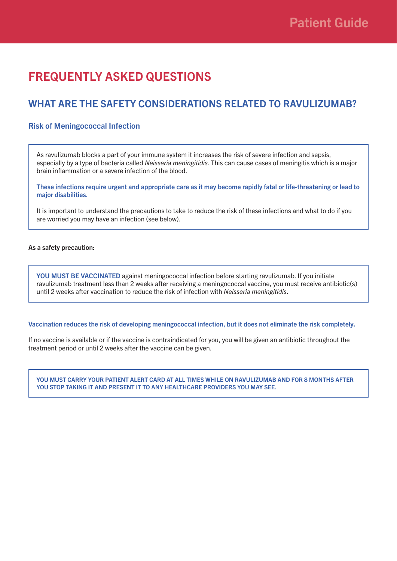# FREQUENTLY ASKED QUESTIONS

### WHAT ARE THE SAFETY CONSIDERATIONS RELATED TO RAVULIZUMAB?

### Risk of Meningococcal Infection

As ravulizumab blocks a part of your immune system it increases the risk of severe infection and sepsis, especially by a type of bacteria called *Neisseria meningitidis*. This can cause cases of meningitis which is a major brain inflammation or a severe infection of the blood.

These infections require urgent and appropriate care as it may become rapidly fatal or life-threatening or lead to major disabilities.

It is important to understand the precautions to take to reduce the risk of these infections and what to do if you are worried you may have an infection (see below).

### As a safety precaution:

YOU MUST BE VACCINATED against meningococcal infection before starting ravulizumab. If you initiate ravulizumab treatment less than 2 weeks after receiving a meningococcal vaccine, you must receive antibiotic(s) until 2 weeks after vaccination to reduce the risk of infection with *Neisseria meningitidis*.

### Vaccination reduces the risk of developing meningococcal infection, but it does not eliminate the risk completely.

If no vaccine is available or if the vaccine is contraindicated for you, you will be given an antibiotic throughout the treatment period or until 2 weeks after the vaccine can be given.

YOU MUST CARRY YOUR PATIENT ALERT CARD AT ALL TIMES WHILE ON RAVULIZUMAB AND FOR 8 MONTHS AFTER YOU STOP TAKING IT AND PRESENT IT TO ANY HEALTHCARE PROVIDERS YOU MAY SEE.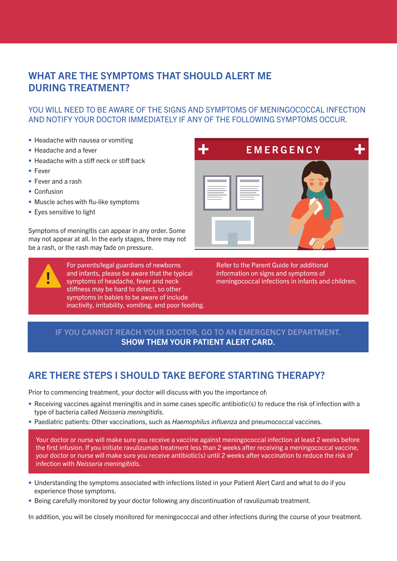### WHAT ARE THE SYMPTOMS THAT SHOULD ALERT ME DURING TREATMENT?

### YOU WILL NEED TO BE AWARE OF THE SIGNS AND SYMPTOMS OF MENINGOCOCCAL INFECTION AND NOTIFY YOUR DOCTOR IMMEDIATELY IF ANY OF THE FOLLOWING SYMPTOMS OCCUR.

- Headache with nausea or vomiting
- Headache and a fever
- Headache with a stiff neck or stiff back
- Fever
- Fever and a rash
- Confusion
- Muscle aches with flu-like symptoms
- Eyes sensitive to light

Symptoms of meningitis can appear in any order. Some may not appear at all. In the early stages, there may not be a rash, or the rash may fade on pressure.

> For parents/legal guardians of newborns and infants, please be aware that the typical symptoms of headache, fever and neck stiffness may be hard to detect, so other symptoms in babies to be aware of include inactivity, irritability, vomiting, and poor feeding.



Refer to the Parent Guide for additional information on signs and symptoms of<br> meningococcal infections in infants and children.

### IF YOU CANNOT REACH YOUR DOCTOR, GO TO AN EMERGENCY DEPARTMENT. SHOW THEM YOUR PATIENT ALERT CARD.

### ARE THERE STEPS I SHOULD TAKE BEFORE STARTING THERAPY?

Prior to commencing treatment, your doctor will discuss with you the importance of:

- Receiving vaccines against meningitis and in some cases specific antibiotic(s) to reduce the risk of infection with a type of bacteria called *Neisseria meningitidis.*
- Paediatric patients: Other vaccinations, such as *Haemophilus influenza* and pneumococcal vaccines.

Your doctor or nurse will make sure you receive a vaccine against meningococcal infection at least 2 weeks before the first infusion. If you initiate ravulizumab treatment less than 2 weeks after receiving a meningococcal vaccine, your doctor or nurse will make sure you receive antibiotic(s) until 2 weeks after vaccination to reduce the risk of infection with *Neisseria meningitidis*.

- Understanding the symptoms associated with infections listed in your Patient Alert Card and what to do if you experience those symptoms.
- Being carefully monitored by your doctor following any discontinuation of ravulizumab treatment.

In addition, you will be closely monitored for meningococcal and other infections during the course of your treatment.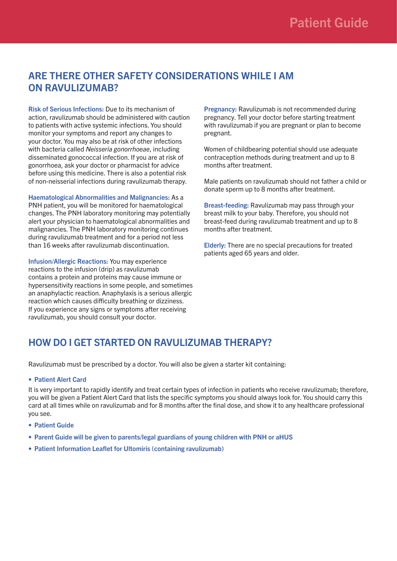### ARE THERE OTHER SAFETY CONSIDERATIONS WHILE I AM ON RAVULIZUMAB?

Risk of Serious Infections: Due to its mechanism of action, ravulizumab should be administered with caution to patients with active systemic infections. You should monitor your symptoms and report any changes to your doctor. You may also be at risk of other infections with bacteria called *Neisseria gonorrhoeae*, including disseminated gonococcal infection. If you are at risk of gonorrhoea, ask your doctor or pharmacist for advice before using this medicine. There is also a potential risk of non-neisserial infections during ravulizumab therapy.

Haematological Abnormalities and Malignancies: As a PNH patient, you will be monitored for haematological changes. The PNH laboratory monitoring may potentially alert your physician to haematological abnormalities and malignancies. The PNH laboratory monitoring continues during ravulizumab treatment and for a period not less than 16 weeks after ravulizumab discontinuation.

Infusion/Allergic Reactions: You may experience reactions to the infusion (drip) as ravulizumab contains a protein and proteins may cause immune or hypersensitivity reactions in some people, and sometimes an anaphylactic reaction. Anaphylaxis is a serious allergic reaction which causes difficulty breathing or dizziness. If you experience any signs or symptoms after receiving ravulizumab, you should consult your doctor.

Pregnancy: Ravulizumab is not recommended during pregnancy. Tell your doctor before starting treatment with ravulizumab if you are pregnant or plan to become pregnant.

Women of childbearing potential should use adequate contraception methods during treatment and up to 8 months after treatment.

Male patients on ravulizumab should not father a child or donate sperm up to 8 months after treatment.

Breast-feeding: Ravulizumab may pass through your breast milk to your baby. Therefore, you should not breast-feed during ravulizumab treatment and up to 8 months after treatment.

Elderly: There are no special precautions for treated patients aged 65 years and older.

### HOW DO I GFT STARTED ON RAVULIZUMAB THERAPY?

Ravulizumab must be prescribed by a doctor. You will also be given a starter kit containing:

### • Patient Alert Card

It is very important to rapidly identify and treat certain types of infection in patients who receive ravulizumab; therefore, you will be given a Patient Alert Card that lists the specific symptoms you should always look for. You should carry this card at all times while on ravulizumab and for 8 months after the final dose, and show it to any healthcare professional you see.

- Patient Guide
- Parent Guide will be given to parents/legal guardians of young children with PNH or aHUS
- Patient Information Leaflet for Ultomiris (containing ravulizumab)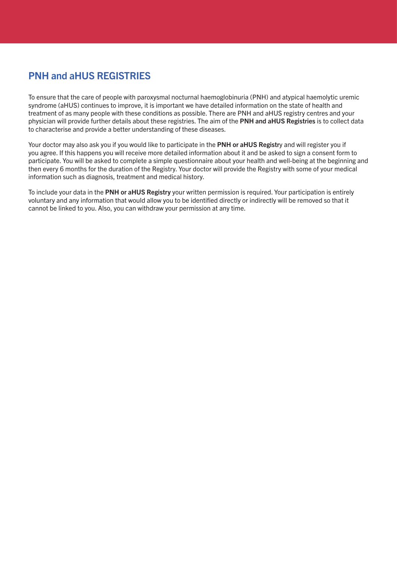### PNH and aHUS REGISTRIES

To ensure that the care of people with paroxysmal nocturnal haemoglobinuria (PNH) and atypical haemolytic uremic syndrome (aHUS) continues to improve, it is important we have detailed information on the state of health and treatment of as many people with these conditions as possible. There are PNH and aHUS registry centres and your physician will provide further details about these registries. The aim of the PNH and aHUS Registries is to collect data to characterise and provide a better understanding of these diseases.

Your doctor may also ask you if you would like to participate in the PNH or aHUS Registry and will register you if you agree. If this happens you will receive more detailed information about it and be asked to sign a consent form to participate. You will be asked to complete a simple questionnaire about your health and well-being at the beginning and then every 6 months for the duration of the Registry. Your doctor will provide the Registry with some of your medical information such as diagnosis, treatment and medical history.

To include your data in the PNH or aHUS Registry your written permission is required. Your participation is entirely voluntary and any information that would allow you to be identified directly or indirectly will be removed so that it cannot be linked to you. Also, you can withdraw your permission at any time.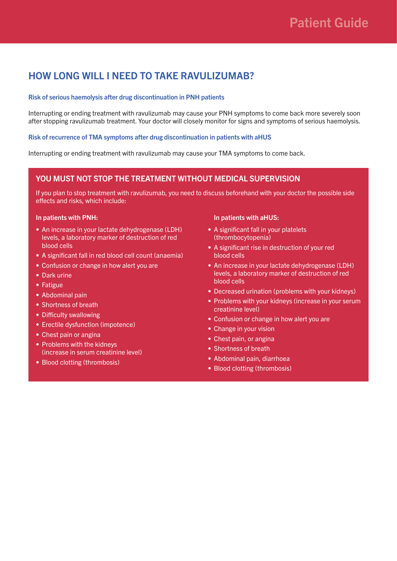### HOW LONG WILL I NEED TO TAKE RAVULIZUMAB?

### Risk of serious haemolysis after drug discontinuation in PNH patients

Interrupting or ending treatment with ravulizumab may cause your PNH symptoms to come back more severely soon after stopping ravulizumab treatment. Your doctor will closely monitor for signs and symptoms of serious haemolysis.

### Risk of recurrence of TMA symptoms after drug discontinuation in patients with aHUS

Interrupting or ending treatment with ravulizumab may cause your TMA symptoms to come back.

### YOU MUST NOT STOP THE TREATMENT WITHOUT MEDICAL SUPERVISION

If you plan to stop treatment with ravulizumab, you need to discuss beforehand with your doctor the possible side effects and risks, which include:

### In patients with PNH:

- An increase in your lactate dehydrogenase (LDH) levels, a laboratory marker of destruction of red blood cells
- A significant fall in red blood cell count (anaemia)
- Confusion or change in how alert you are
- Dark urine
- Fatigue
- Abdominal pain
- Shortness of breath
- Difficulty swallowing
- Erectile dysfunction (impotence)
- Chest pain or angina
- Problems with the kidneys (increase in serum creatinine level)
- Blood clotting (thrombosis)

### In patients with aHUS:

- A significant fall in your platelets (thrombocytopenia)
- A significant rise in destruction of your red blood cells
- An increase in your lactate dehydrogenase (LDH) levels, a laboratory marker of destruction of red blood cells
- Decreased urination (problems with your kidneys)
- Problems with your kidneys (increase in your serum creatinine level)
- Confusion or change in how alert you are
- Change in your vision
- Chest pain, or angina
- Shortness of breath
- Abdominal pain, diarrhoea
- Blood clotting (thrombosis)